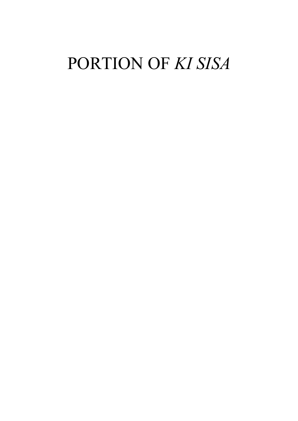# PORTION OF KI SISA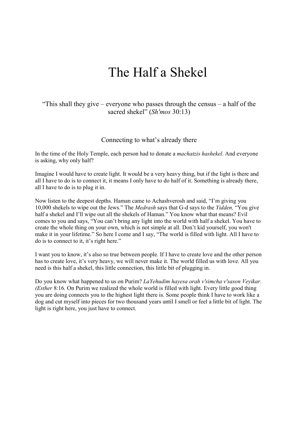### The Half a Shekel

#### "This shall they give – everyone who passes through the census – a half of the sacred shekel" (Sh'mos 30:13)

#### Connecting to what's already there

In the time of the Holy Temple, each person had to donate a machatzis hashekel. And everyone is asking, why only half?

Imagine I would have to create light. It would be a very heavy thing, but if the light is there and all I have to do is to connect it, it means I only have to do half of it. Something is already there, all I have to do is to plug it in.

Now listen to the deepest depths. Haman came to Achashverosh and said, "I'm giving you 10,000 shekels to wipe out the Jews." The Medrash says that G-d says to the Yidden, "You give half a shekel and I'll wipe out all the shekels of Haman." You know what that means? Evil comes to you and says, "You can't bring any light into the world with half a shekel. You have to create the whole thing on your own, which is not simple at all. Don't kid yourself, you won't make it in your lifetime." So here I come and I say, "The world is filled with light. All I have to do is to connect to it, it's right here."

I want you to know, it's also so true between people. If I have to create love and the other person has to create love, it's very heavy, we will never make it. The world filled us with love. All you need is this half a shekel, this little connection, this little bit of plugging in.

Do you know what happened to us on Purim? LaYehudim hayesa orah v'simcha v'sason Veyikar. (Esther 8:16. On Purim we realized the whole world is filled with light. Every little good thing you are doing connects you to the highest light there is. Some people think I have to work like a dog and cut myself into pieces for two thousand years until I smell or feel a little bit of light. The light is right here, you just have to connect.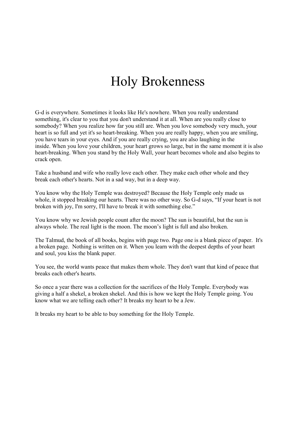## Holy Brokenness

G-d is everywhere. Sometimes it looks like He's nowhere. When you really understand something, it's clear to you that you don't understand it at all. When are you really close to somebody? When you realize how far you still are. When you love somebody very much, your heart is so full and yet it's so heart-breaking. When you are really happy, when you are smiling, you have tears in your eyes. And if you are really crying, you are also laughing in the inside. When you love your children, your heart grows so large, but in the same moment it is also heart-breaking. When you stand by the Holy Wall, your heart becomes whole and also begins to crack open.

Take a husband and wife who really love each other. They make each other whole and they break each other's hearts. Not in a sad way, but in a deep way.

You know why the Holy Temple was destroyed? Because the Holy Temple only made us whole, it stopped breaking our hearts. There was no other way. So G-d says, "If your heart is not broken with joy, I'm sorry, I'll have to break it with something else."

You know why we Jewish people count after the moon? The sun is beautiful, but the sun is always whole. The real light is the moon. The moon's light is full and also broken.

The Talmud, the book of all books, begins with page two. Page one is a blank piece of paper. It's a broken page. Nothing is written on it. When you learn with the deepest depths of your heart and soul, you kiss the blank paper.

You see, the world wants peace that makes them whole. They don't want that kind of peace that breaks each other's hearts.

So once a year there was a collection for the sacrifices of the Holy Temple. Everybody was giving a half a shekel, a broken shekel. And this is how we kept the Holy Temple going. You know what we are telling each other? It breaks my heart to be a Jew.

It breaks my heart to be able to buy something for the Holy Temple.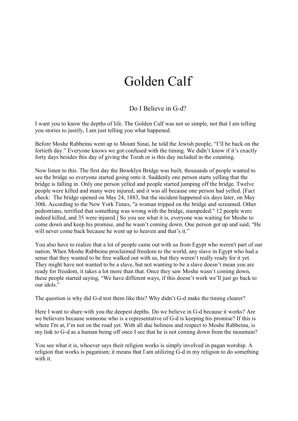### Golden Calf

#### Do I Believe in G-d?

I want you to know the depths of life. The Golden Calf was not so simple, not that I am telling you stories to justify, I am just telling you what happened.

Before Moshe Rabbeinu went up to Mount Sinai, he told the Jewish people, "I'll be back on the fortieth day." Everyone knows we got confused with the timing. We didn't know if it's exactly forty days besides this day of giving the Torah or is this day included in the counting.

Now listen to this. The first day the Brooklyn Bridge was built, thousands of people wanted to see the bridge so everyone started going onto it. Suddenly one person starts yelling that the bridge is falling in. Only one person yelled and people started jumping off the bridge. Twelve people were killed and many were injured, and it was all because one person had yelled. [Fact check: The bridge opened on May 24, 1883, but the incident happened six days later, on May 30th. According to the New York Times, "a woman tripped on the bridge and screamed. Other pedestrians, terrified that something was wrong with the bridge, stampeded." 12 people were indeed killed, and 35 were injured.] So you see what it is, everyone was waiting for Moshe to come down and keep his promise, and he wasn't coming down. One person got up and said, "He will never come back because he went up to heaven and that's it."

You also have to realize that a lot of people came out with us from Egypt who weren't part of our nation. When Moshe Rabbeinu proclaimed freedom to the world, any slave in Egypt who had a sense that they wanted to be free walked out with us, but they weren't really ready for it yet. They might have not wanted to be a slave, but not wanting to be a slave doesn't mean you are ready for freedom, it takes a lot more than that. Once they saw Moshe wasn't coming down, these people started saying, "We have different ways, if this doesn't work we'll just go back to our idols."

The question is why did G-d test them like this? Why didn't G-d make the timing clearer?

Here I want to share with you the deepest depths. Do we believe in G-d because it works? Are we believers because someone who is a representative of G-d is keeping his promise? If this is where I'm at, I'm not on the road yet. With all due holiness and respect to Moshe Rabbeinu, is my link to G-d as a human being off once I see that he is not coming down from the mountain?

You see what it is, whoever says their religion works is simply involved in pagan worship. A religion that works is paganism; it means that I am utilizing G-d in my religion to do something with it.